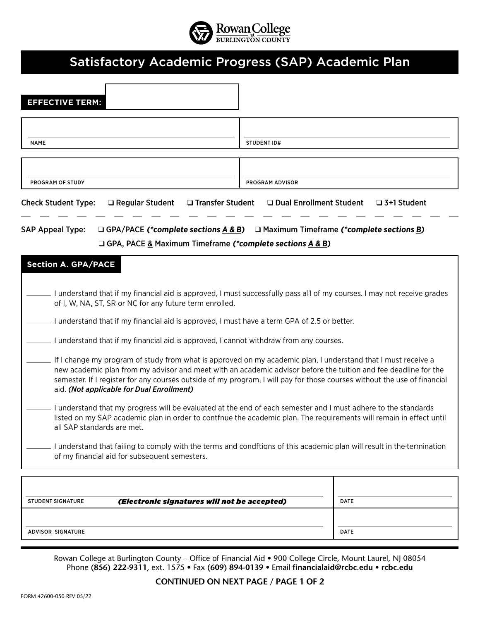

## Satisfactory Academic Progress (SAP) Academic Plan

| <b>EFFECTIVE TERM:</b>                                                                                                                                                                                                                                                                                                                                                                                    |                                              |                    |  |  |
|-----------------------------------------------------------------------------------------------------------------------------------------------------------------------------------------------------------------------------------------------------------------------------------------------------------------------------------------------------------------------------------------------------------|----------------------------------------------|--------------------|--|--|
|                                                                                                                                                                                                                                                                                                                                                                                                           |                                              |                    |  |  |
| <b>NAME</b>                                                                                                                                                                                                                                                                                                                                                                                               | <b>STUDENT ID#</b>                           |                    |  |  |
|                                                                                                                                                                                                                                                                                                                                                                                                           |                                              |                    |  |  |
| PROGRAM OF STUDY<br>□ Transfer Student<br><b>Check Student Type:</b><br>□ Regular Student                                                                                                                                                                                                                                                                                                                 | PROGRAM ADVISOR<br>□ Dual Enrollment Student | $\Box$ 3+1 Student |  |  |
| <b>SAP Appeal Type:</b><br>□ GPA/PACE (*complete sections $A & B$ ) □ Maximum Timeframe (*complete sections B)                                                                                                                                                                                                                                                                                            |                                              |                    |  |  |
| □ GPA, PACE & Maximum Timeframe (*complete sections A & B)                                                                                                                                                                                                                                                                                                                                                |                                              |                    |  |  |
| <b>Section A. GPA/PACE</b>                                                                                                                                                                                                                                                                                                                                                                                |                                              |                    |  |  |
| I understand that if my financial aid is approved, I must successfully pass all of my courses. I may not receive grades<br>of I, W, NA, ST, SR or NC for any future term enrolled.<br>I understand that if my financial aid is approved, I must have a term GPA of 2.5 or better.<br>I understand that if my financial aid is approved, I cannot withdraw from any courses.                               |                                              |                    |  |  |
| If I change my program of study from what is approved on my academic plan, I understand that I must receive a<br>new academic plan from my advisor and meet with an academic advisor before the tuition and fee deadline for the<br>semester. If I register for any courses outside of my program, I will pay for those courses without the use of financial<br>aid. (Not applicable for Dual Enrollment) |                                              |                    |  |  |
| I understand that my progress will be evaluated at the end of each semester and I must adhere to the standards<br>listed on my SAP academic plan in order to contfnue the academic plan. The requirements will remain in effect until<br>all SAP standards are met.                                                                                                                                       |                                              |                    |  |  |
| I understand that failing to comply with the terms and condftions of this academic plan will result in the termination<br>of my financial aid for subsequent semesters.                                                                                                                                                                                                                                   |                                              |                    |  |  |
|                                                                                                                                                                                                                                                                                                                                                                                                           |                                              |                    |  |  |
| <b>STUDENT SIGNATURE</b><br>(Electronic signatures will not be accepted)                                                                                                                                                                                                                                                                                                                                  | <b>DATE</b>                                  |                    |  |  |
| <b>ADVISOR SIGNATURE</b>                                                                                                                                                                                                                                                                                                                                                                                  | <b>DATE</b>                                  |                    |  |  |

Rowan College at Burlington County – Office of Financial Aid • 900 College Circle, Mount Laurel, NJ 08054 Phone **(856) 222-9311**, ext. 1575 • Fax **(609) 894-0139** • Email **financialaid@rcbc.edu • rcbc.edu**